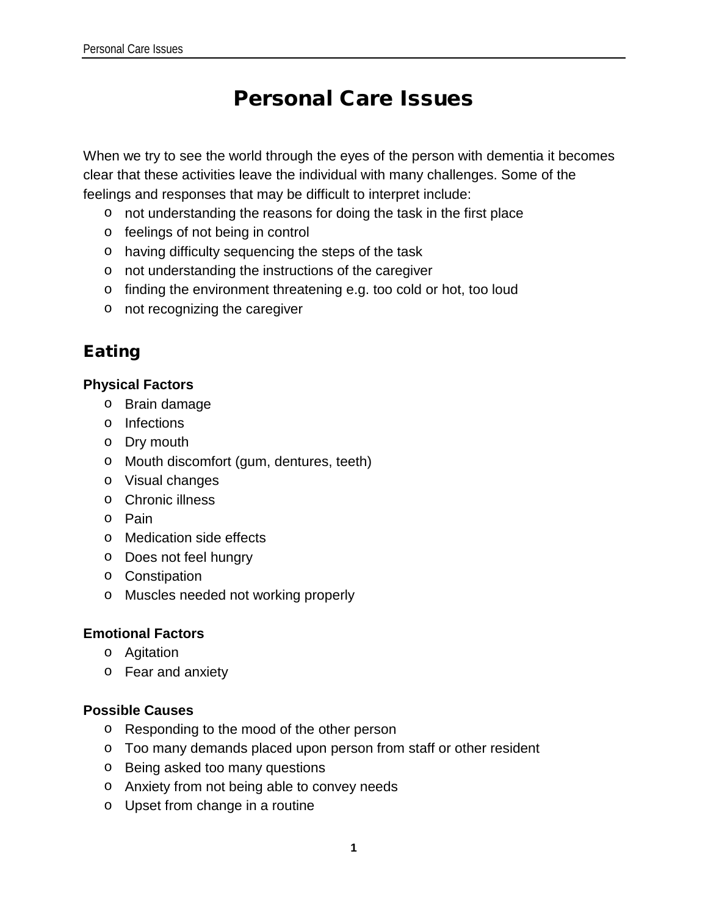# Personal Care Issues

When we try to see the world through the eyes of the person with dementia it becomes clear that these activities leave the individual with many challenges. Some of the feelings and responses that may be difficult to interpret include:

- o not understanding the reasons for doing the task in the first place
- o feelings of not being in control
- o having difficulty sequencing the steps of the task
- o not understanding the instructions of the caregiver
- o finding the environment threatening e.g. too cold or hot, too loud
- o not recognizing the caregiver

## Eating

### **Physical Factors**

- o Brain damage
- o Infections
- o Dry mouth
- o Mouth discomfort (gum, dentures, teeth)
- o Visual changes
- o Chronic illness
- o Pain
- o Medication side effects
- o Does not feel hungry
- o Constipation
- o Muscles needed not working properly

### **Emotional Factors**

- o Agitation
- o Fear and anxiety

### **Possible Causes**

- o Responding to the mood of the other person
- o Too many demands placed upon person from staff or other resident
- o Being asked too many questions
- o Anxiety from not being able to convey needs
- o Upset from change in a routine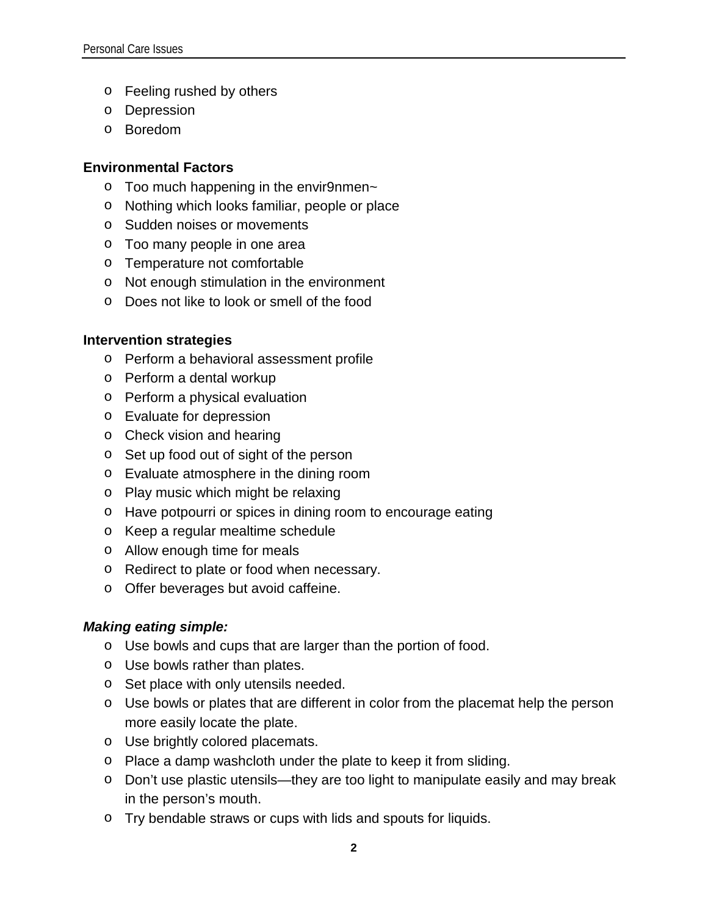- o Feeling rushed by others
- o Depression
- o Boredom

### **Environmental Factors**

- $\circ$  Too much happening in the envir9nmen~
- o Nothing which looks familiar, people or place
- o Sudden noises or movements
- o Too many people in one area
- o Temperature not comfortable
- o Not enough stimulation in the environment
- o Does not like to look or smell of the food

### **Intervention strategies**

- o Perform a behavioral assessment profile
- o Perform a dental workup
- o Perform a physical evaluation
- o Evaluate for depression
- o Check vision and hearing
- o Set up food out of sight of the person
- o Evaluate atmosphere in the dining room
- o Play music which might be relaxing
- o Have potpourri or spices in dining room to encourage eating
- o Keep a regular mealtime schedule
- o Allow enough time for meals
- o Redirect to plate or food when necessary.
- o Offer beverages but avoid caffeine.

### *Making eating simple:*

- o Use bowls and cups that are larger than the portion of food.
- o Use bowls rather than plates.
- o Set place with only utensils needed.
- o Use bowls or plates that are different in color from the placemat help the person more easily locate the plate.
- o Use brightly colored placemats.
- o Place a damp washcloth under the plate to keep it from sliding.
- o Don't use plastic utensils—they are too light to manipulate easily and may break in the person's mouth.
- o Try bendable straws or cups with lids and spouts for liquids.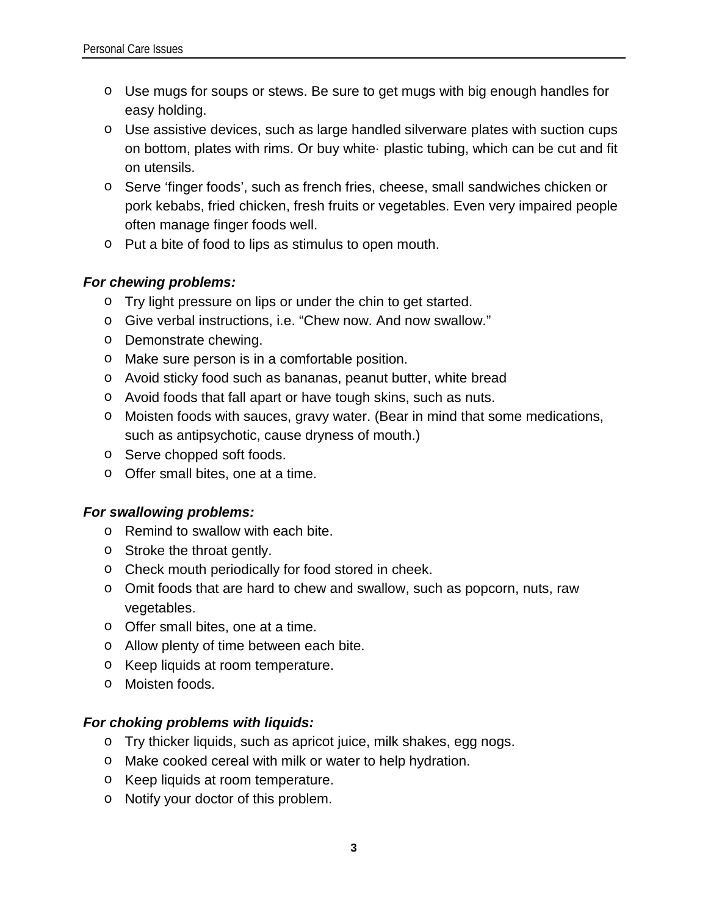- o Use mugs for soups or stews. Be sure to get mugs with big enough handles for easy holding.
- o Use assistive devices, such as large handled silverware plates with suction cups on bottom, plates with rims. Or buy white· plastic tubing, which can be cut and fit on utensils.
- o Serve 'finger foods', such as french fries, cheese, small sandwiches chicken or pork kebabs, fried chicken, fresh fruits or vegetables. Even very impaired people often manage finger foods well.
- o Put a bite of food to lips as stimulus to open mouth.

### *For chewing problems:*

- o Try light pressure on lips or under the chin to get started.
- o Give verbal instructions, i.e. "Chew now. And now swallow."
- o Demonstrate chewing.
- o Make sure person is in a comfortable position.
- o Avoid sticky food such as bananas, peanut butter, white bread
- o Avoid foods that fall apart or have tough skins, such as nuts.
- o Moisten foods with sauces, gravy water. (Bear in mind that some medications, such as antipsychotic, cause dryness of mouth.)
- o Serve chopped soft foods.
- o Offer small bites, one at a time.

### *For swallowing problems:*

- o Remind to swallow with each bite.
- o Stroke the throat gently.
- o Check mouth periodically for food stored in cheek.
- o Omit foods that are hard to chew and swallow, such as popcorn, nuts, raw vegetables.
- o Offer small bites, one at a time.
- o Allow plenty of time between each bite.
- o Keep liquids at room temperature.
- o Moisten foods.

### *For choking problems with liquids:*

- o Try thicker liquids, such as apricot juice, milk shakes, egg nogs.
- o Make cooked cereal with milk or water to help hydration.
- o Keep liquids at room temperature.
- o Notify your doctor of this problem.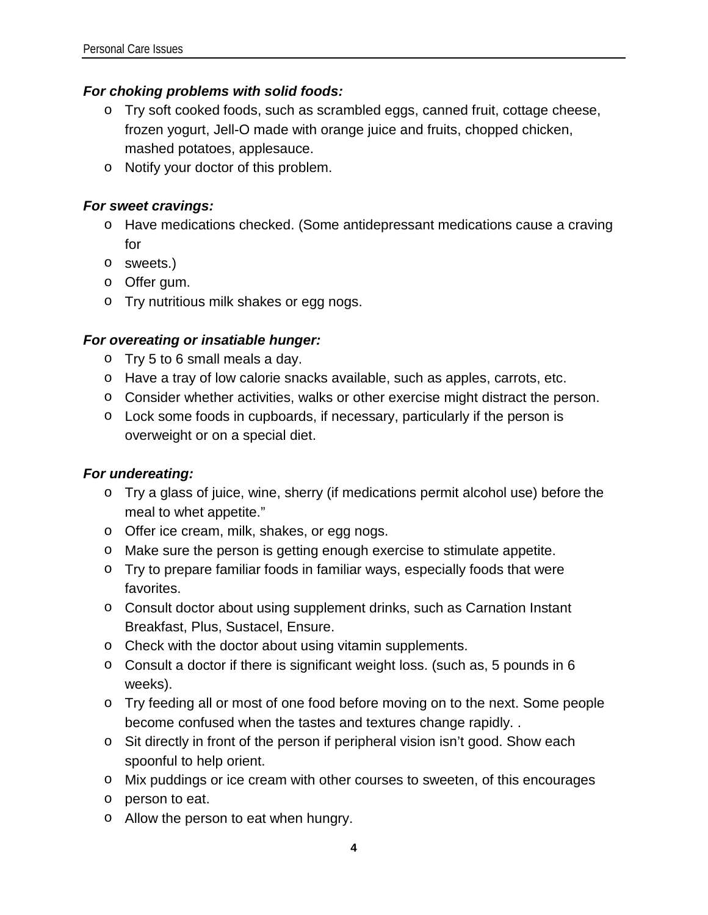### *For choking problems with solid foods:*

- o Try soft cooked foods, such as scrambled eggs, canned fruit, cottage cheese, frozen yogurt, Jell-O made with orange juice and fruits, chopped chicken, mashed potatoes, applesauce.
- o Notify your doctor of this problem.

### *For sweet cravings:*

- o Have medications checked. (Some antidepressant medications cause a craving for
- o sweets.)
- o Offer gum.
- o Try nutritious milk shakes or egg nogs.

### *For overeating or insatiable hunger:*

- o Try 5 to 6 small meals a day.
- o Have a tray of low calorie snacks available, such as apples, carrots, etc.
- o Consider whether activities, walks or other exercise might distract the person.
- o Lock some foods in cupboards, if necessary, particularly if the person is overweight or on a special diet.

### *For undereating:*

- o Try a glass of juice, wine, sherry (if medications permit alcohol use) before the meal to whet appetite."
- o Offer ice cream, milk, shakes, or egg nogs.
- o Make sure the person is getting enough exercise to stimulate appetite.
- o Try to prepare familiar foods in familiar ways, especially foods that were favorites.
- o Consult doctor about using supplement drinks, such as Carnation Instant Breakfast, Plus, Sustacel, Ensure.
- o Check with the doctor about using vitamin supplements.
- o Consult a doctor if there is significant weight loss. (such as, 5 pounds in 6 weeks).
- o Try feeding all or most of one food before moving on to the next. Some people become confused when the tastes and textures change rapidly. .
- o Sit directly in front of the person if peripheral vision isn't good. Show each spoonful to help orient.
- o Mix puddings or ice cream with other courses to sweeten, of this encourages
- o person to eat.
- o Allow the person to eat when hungry.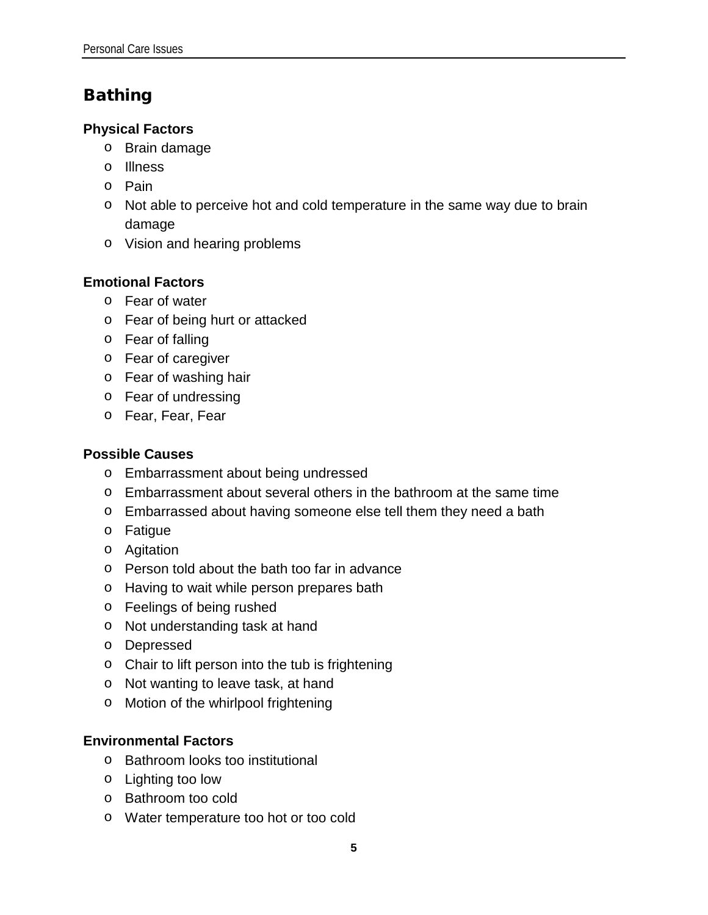## Bathing

### **Physical Factors**

- o Brain damage
- o Illness
- o Pain
- o Not able to perceive hot and cold temperature in the same way due to brain damage
- o Vision and hearing problems

### **Emotional Factors**

- o Fear of water
- o Fear of being hurt or attacked
- o Fear of falling
- o Fear of caregiver
- o Fear of washing hair
- o Fear of undressing
- o Fear, Fear, Fear

### **Possible Causes**

- o Embarrassment about being undressed
- $\circ$  Embarrassment about several others in the bathroom at the same time
- o Embarrassed about having someone else tell them they need a bath
- o Fatigue
- o Agitation
- o Person told about the bath too far in advance
- o Having to wait while person prepares bath
- o Feelings of being rushed
- o Not understanding task at hand
- o Depressed
- o Chair to lift person into the tub is frightening
- o Not wanting to leave task, at hand
- o Motion of the whirlpool frightening

### **Environmental Factors**

- o Bathroom looks too institutional
- o Lighting too low
- o Bathroom too cold
- o Water temperature too hot or too cold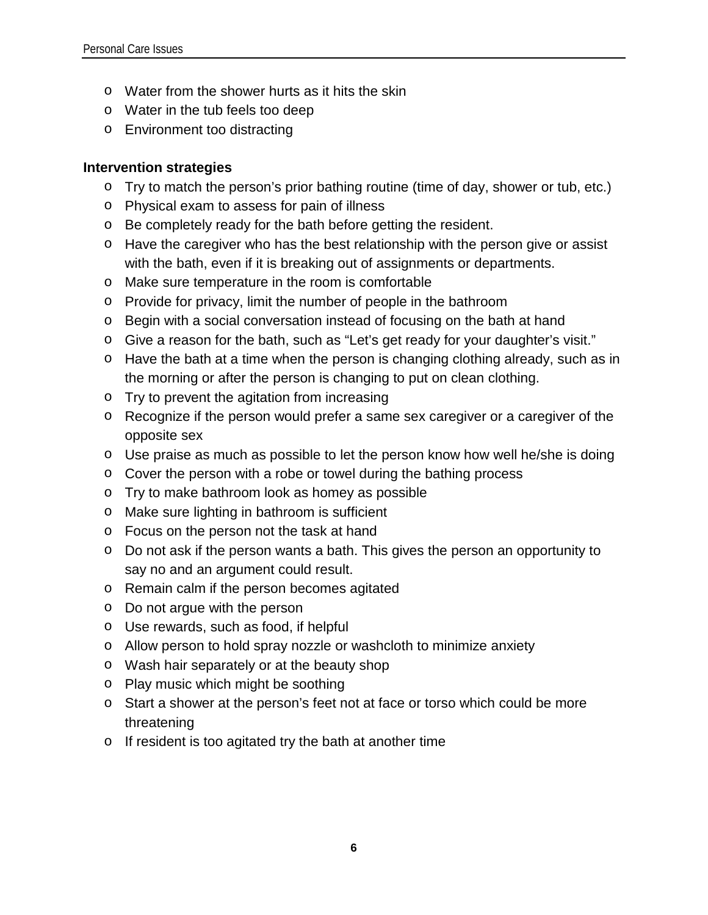- o Water from the shower hurts as it hits the skin
- o Water in the tub feels too deep
- o Environment too distracting

### **Intervention strategies**

- o Try to match the person's prior bathing routine (time of day, shower or tub, etc.)
- o Physical exam to assess for pain of illness
- o Be completely ready for the bath before getting the resident.
- o Have the caregiver who has the best relationship with the person give or assist with the bath, even if it is breaking out of assignments or departments.
- o Make sure temperature in the room is comfortable
- o Provide for privacy, limit the number of people in the bathroom
- o Begin with a social conversation instead of focusing on the bath at hand
- o Give a reason for the bath, such as "Let's get ready for your daughter's visit."
- o Have the bath at a time when the person is changing clothing already, such as in the morning or after the person is changing to put on clean clothing.
- o Try to prevent the agitation from increasing
- o Recognize if the person would prefer a same sex caregiver or a caregiver of the opposite sex
- o Use praise as much as possible to let the person know how well he/she is doing
- o Cover the person with a robe or towel during the bathing process
- o Try to make bathroom look as homey as possible
- o Make sure lighting in bathroom is sufficient
- o Focus on the person not the task at hand
- o Do not ask if the person wants a bath. This gives the person an opportunity to say no and an argument could result.
- o Remain calm if the person becomes agitated
- o Do not argue with the person
- o Use rewards, such as food, if helpful
- o Allow person to hold spray nozzle or washcloth to minimize anxiety
- o Wash hair separately or at the beauty shop
- o Play music which might be soothing
- o Start a shower at the person's feet not at face or torso which could be more threatening
- o If resident is too agitated try the bath at another time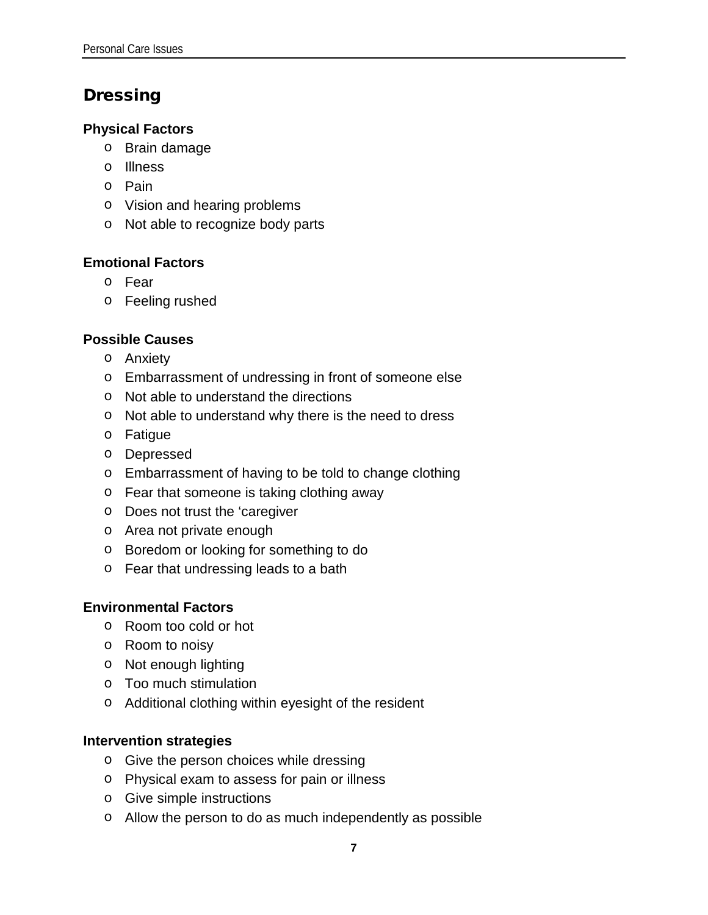## Dressing

### **Physical Factors**

- o Brain damage
- o Illness
- o Pain
- o Vision and hearing problems
- o Not able to recognize body parts

### **Emotional Factors**

- o Fear
- o Feeling rushed

### **Possible Causes**

- o Anxiety
- o Embarrassment of undressing in front of someone else
- o Not able to understand the directions
- o Not able to understand why there is the need to dress
- o Fatigue
- o Depressed
- o Embarrassment of having to be told to change clothing
- o Fear that someone is taking clothing away
- o Does not trust the 'caregiver
- o Area not private enough
- o Boredom or looking for something to do
- o Fear that undressing leads to a bath

### **Environmental Factors**

- o Room too cold or hot
- o Room to noisy
- o Not enough lighting
- o Too much stimulation
- o Additional clothing within eyesight of the resident

### **Intervention strategies**

- o Give the person choices while dressing
- o Physical exam to assess for pain or illness
- o Give simple instructions
- o Allow the person to do as much independently as possible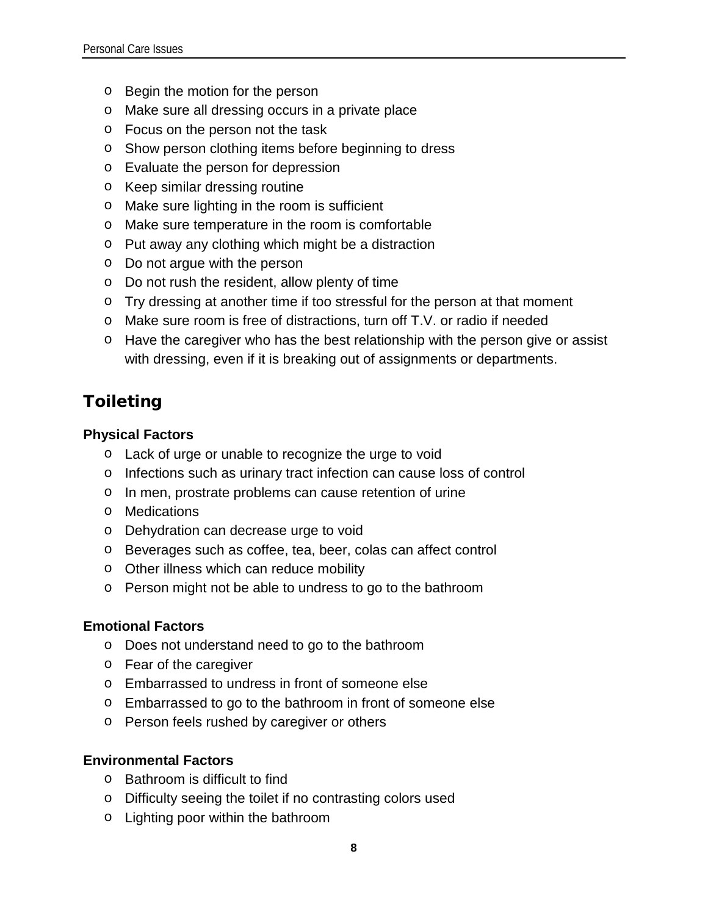- o Begin the motion for the person
- o Make sure all dressing occurs in a private place
- o Focus on the person not the task
- o Show person clothing items before beginning to dress
- o Evaluate the person for depression
- o Keep similar dressing routine
- o Make sure lighting in the room is sufficient
- o Make sure temperature in the room is comfortable
- o Put away any clothing which might be a distraction
- o Do not argue with the person
- o Do not rush the resident, allow plenty of time
- o Try dressing at another time if too stressful for the person at that moment
- o Make sure room is free of distractions, turn off T.V. or radio if needed
- o Have the caregiver who has the best relationship with the person give or assist with dressing, even if it is breaking out of assignments or departments.

## Toileting

### **Physical Factors**

- o Lack of urge or unable to recognize the urge to void
- o Infections such as urinary tract infection can cause loss of control
- o In men, prostrate problems can cause retention of urine
- o Medications
- o Dehydration can decrease urge to void
- o Beverages such as coffee, tea, beer, colas can affect control
- o Other illness which can reduce mobility
- o Person might not be able to undress to go to the bathroom

### **Emotional Factors**

- o Does not understand need to go to the bathroom
- o Fear of the caregiver
- o Embarrassed to undress in front of someone else
- o Embarrassed to go to the bathroom in front of someone else
- o Person feels rushed by caregiver or others

### **Environmental Factors**

- o Bathroom is difficult to find
- o Difficulty seeing the toilet if no contrasting colors used
- o Lighting poor within the bathroom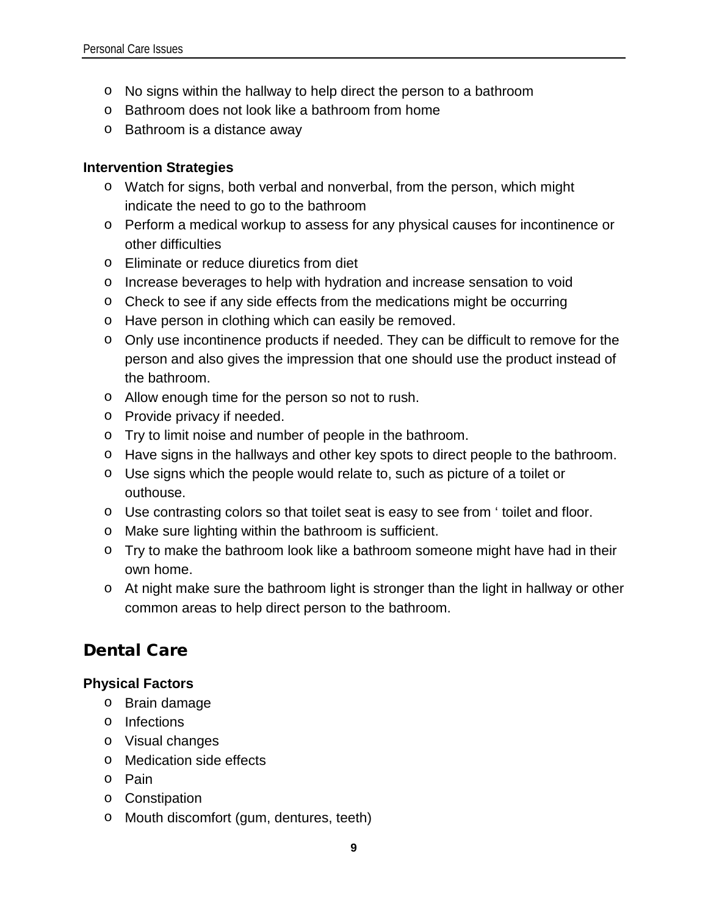- o No signs within the hallway to help direct the person to a bathroom
- o Bathroom does not look like a bathroom from home
- o Bathroom is a distance away

### **Intervention Strategies**

- o Watch for signs, both verbal and nonverbal, from the person, which might indicate the need to go to the bathroom
- o Perform a medical workup to assess for any physical causes for incontinence or other difficulties
- o Eliminate or reduce diuretics from diet
- o Increase beverages to help with hydration and increase sensation to void
- o Check to see if any side effects from the medications might be occurring
- o Have person in clothing which can easily be removed.
- o Only use incontinence products if needed. They can be difficult to remove for the person and also gives the impression that one should use the product instead of the bathroom.
- o Allow enough time for the person so not to rush.
- o Provide privacy if needed.
- o Try to limit noise and number of people in the bathroom.
- o Have signs in the hallways and other key spots to direct people to the bathroom.
- o Use signs which the people would relate to, such as picture of a toilet or outhouse.
- o Use contrasting colors so that toilet seat is easy to see from ' toilet and floor.
- o Make sure lighting within the bathroom is sufficient.
- o Try to make the bathroom look like a bathroom someone might have had in their own home.
- o At night make sure the bathroom light is stronger than the light in hallway or other common areas to help direct person to the bathroom.

## Dental Care

### **Physical Factors**

- o Brain damage
- o Infections
- o Visual changes
- o Medication side effects
- o Pain
- o Constipation
- o Mouth discomfort (gum, dentures, teeth)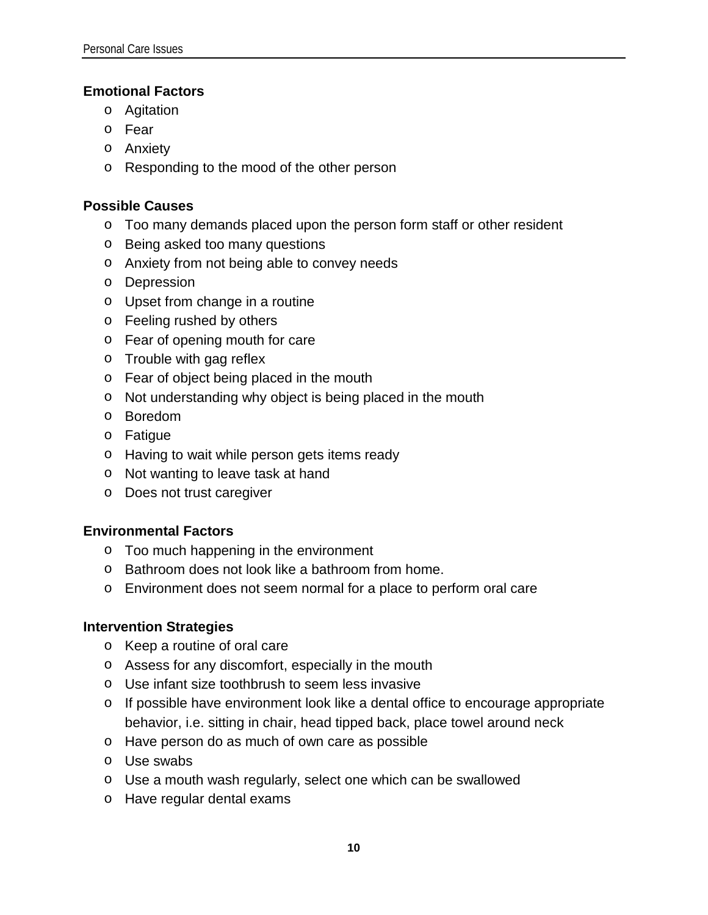### **Emotional Factors**

- o Agitation
- o Fear
- o Anxiety
- o Responding to the mood of the other person

### **Possible Causes**

- o Too many demands placed upon the person form staff or other resident
- o Being asked too many questions
- o Anxiety from not being able to convey needs
- o Depression
- o Upset from change in a routine
- o Feeling rushed by others
- o Fear of opening mouth for care
- o Trouble with gag reflex
- o Fear of object being placed in the mouth
- o Not understanding why object is being placed in the mouth
- o Boredom
- o Fatigue
- o Having to wait while person gets items ready
- o Not wanting to leave task at hand
- o Does not trust caregiver

### **Environmental Factors**

- o Too much happening in the environment
- o Bathroom does not look like a bathroom from home.
- o Environment does not seem normal for a place to perform oral care

### **Intervention Strategies**

- o Keep a routine of oral care
- o Assess for any discomfort, especially in the mouth
- o Use infant size toothbrush to seem less invasive
- o If possible have environment look like a dental office to encourage appropriate behavior, i.e. sitting in chair, head tipped back, place towel around neck
- o Have person do as much of own care as possible
- o Use swabs
- o Use a mouth wash regularly, select one which can be swallowed
- o Have regular dental exams